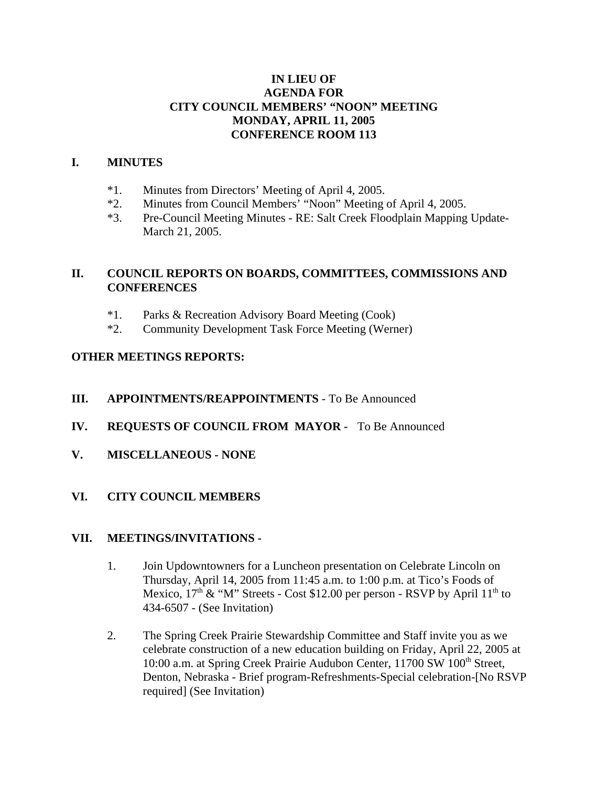### **IN LIEU OF AGENDA FOR CITY COUNCIL MEMBERS' "NOON" MEETING MONDAY, APRIL 11, 2005 CONFERENCE ROOM 113**

#### **I. MINUTES**

- \*1. Minutes from Directors' Meeting of April 4, 2005.
- \*2. Minutes from Council Members' "Noon" Meeting of April 4, 2005.
- \*3. Pre-Council Meeting Minutes RE: Salt Creek Floodplain Mapping Update-March 21, 2005.

# **II. COUNCIL REPORTS ON BOARDS, COMMITTEES, COMMISSIONS AND CONFERENCES**

- \*1. Parks & Recreation Advisory Board Meeting (Cook)
- \*2. Community Development Task Force Meeting (Werner)

### **OTHER MEETINGS REPORTS:**

### **III. APPOINTMENTS/REAPPOINTMENTS** - To Be Announced

- **IV. REQUESTS OF COUNCIL FROM MAYOR** To Be Announced
- **V. MISCELLANEOUS NONE**

### **VI. CITY COUNCIL MEMBERS**

### **VII. MEETINGS/INVITATIONS -**

- 1. Join Updowntowners for a Luncheon presentation on Celebrate Lincoln on Thursday, April 14, 2005 from 11:45 a.m. to 1:00 p.m. at Tico's Foods of Mexico,  $17<sup>th</sup>$  & "M" Streets - Cost \$12.00 per person - RSVP by April  $11<sup>th</sup>$  to 434-6507 - (See Invitation)
- 2. The Spring Creek Prairie Stewardship Committee and Staff invite you as we celebrate construction of a new education building on Friday, April 22, 2005 at 10:00 a.m. at Spring Creek Prairie Audubon Center, 11700 SW 100<sup>th</sup> Street, Denton, Nebraska - Brief program-Refreshments-Special celebration-[No RSVP required] (See Invitation)